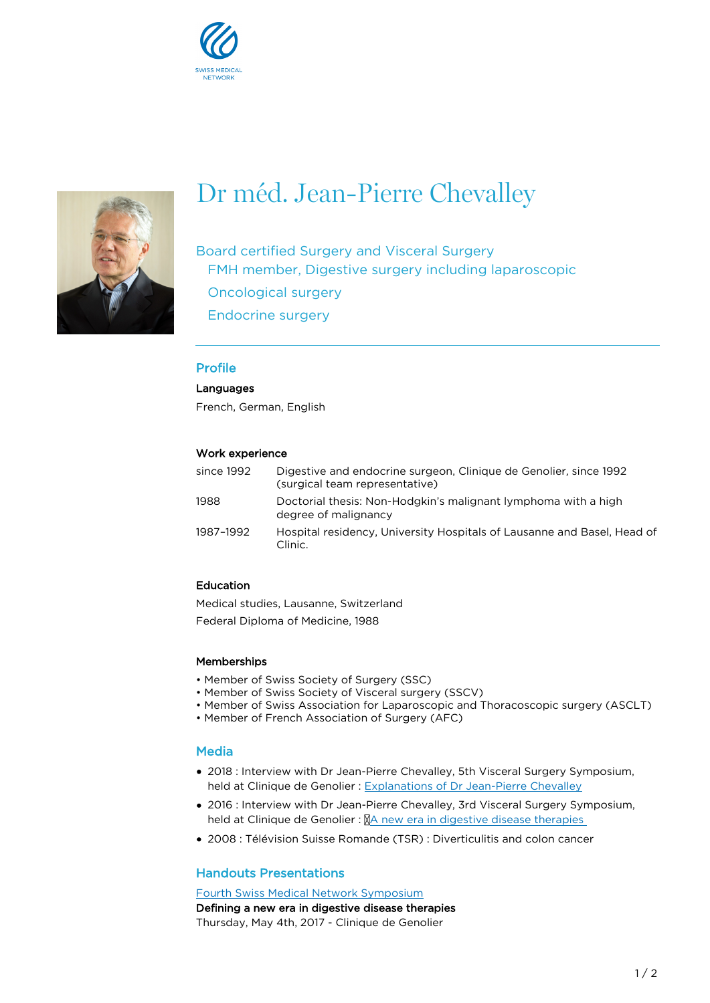



# Dr méd. Jean-Pierre Chevalley

Board certified Surgery and Visceral Surgery FMH member, Digestive surgery including laparoscopic Oncological surgery Endocrine surgery

# Profile

#### **Languages**

French, German, English

# Work experience

| since 1992 | Digestive and endocrine surgeon, Clinique de Genolier, since 1992<br>(surgical team representative) |
|------------|-----------------------------------------------------------------------------------------------------|
| 1988       | Doctorial thesis: Non-Hodgkin's malignant lymphoma with a high<br>degree of malignancy              |
| 1987–1992  | Hospital residency, University Hospitals of Lausanne and Basel, Head of<br>Clinic.                  |

# Education

Medical studies, Lausanne, Switzerland Federal Diploma of Medicine, 1988

#### **Memberships**

- Member of Swiss Society of Surgery (SSC)
- Member of Swiss Society of Visceral surgery (SSCV)
- Member of Swiss Association for Laparoscopic and Thoracoscopic surgery (ASCLT)
- Member of French Association of Surgery (AFC)

# **Media**

- 2018 : Interview with Dr Jean-Pierre Chevalley, 5th Visceral Surgery Symposium, held at Clinique de Genolier : [Explanations of Dr Jean-Pierre Chevalley](https://www.facebook.com/592045444309191/posts/909439585903107)
- 2016 : Interview with Dr Jean-Pierre Chevalley, 3rd Visceral Surgery Symposium, held at Clinique de Genolier :  $NA$  new era in digestive disease therapies
- 2008 : Télévision Suisse Romande (TSR) : Diverticulitis and colon cancer

# Handouts Presentations

[Fourth Swiss Medical Network Symposium](https://www.swissmedical.net/en/veranstaltungen/evenements-passes/fourth-swiss-medical-network-symposium) Defining a new era in digestive disease therapies Thursday, May 4th, 2017 - Clinique de Genolier